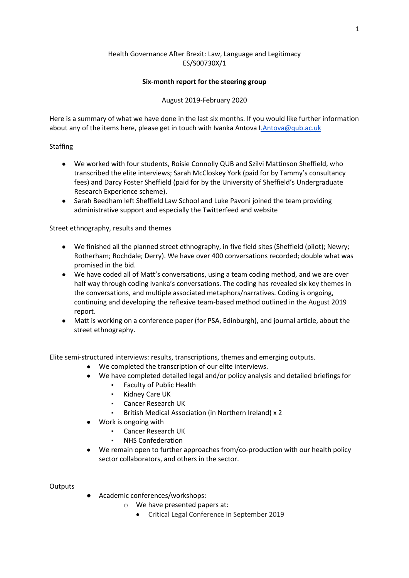# Health Governance After Brexit: Law, Language and Legitimacy ES/S00730X/1

## **Six-month report for the steering group**

## August 2019-February 2020

Here is a summary of what we have done in the last six months. If you would like further information about any of the items here, please get in touch with Ivanka Antova I. Antova@qub.ac.uk

## Staffing

- We worked with four students, Roisie Connolly QUB and Szilvi Mattinson Sheffield, who transcribed the elite interviews; Sarah McCloskey York (paid for by Tammy's consultancy fees) and Darcy Foster Sheffield (paid for by the University of Sheffield's Undergraduate Research Experience scheme).
- Sarah Beedham left Sheffield Law School and Luke Pavoni joined the team providing administrative support and especially the Twitterfeed and website

Street ethnography, results and themes

- We finished all the planned street ethnography, in five field sites (Sheffield (pilot); Newry; Rotherham; Rochdale; Derry). We have over 400 conversations recorded; double what was promised in the bid.
- We have coded all of Matt's conversations, using a team coding method, and we are over half way through coding Ivanka's conversations. The coding has revealed six key themes in the conversations, and multiple associated metaphors/narratives. Coding is ongoing, continuing and developing the reflexive team-based method outlined in the August 2019 report.
- Matt is working on a conference paper (for PSA, Edinburgh), and journal article, about the street ethnography.

Elite semi-structured interviews: results, transcriptions, themes and emerging outputs.

- We completed the transcription of our elite interviews.
- We have completed detailed legal and/or policy analysis and detailed briefings for
	- Faculty of Public Health
	- Kidney Care UK
	- Cancer Research UK
	- British Medical Association (in Northern Ireland) x 2
- Work is ongoing with
	- **Cancer Research UK**
	- NHS Confederation
- We remain open to further approaches from/co-production with our health policy sector collaborators, and others in the sector.

#### **Outputs**

- Academic conferences/workshops:
	- o We have presented papers at:
		- Critical Legal Conference in September 2019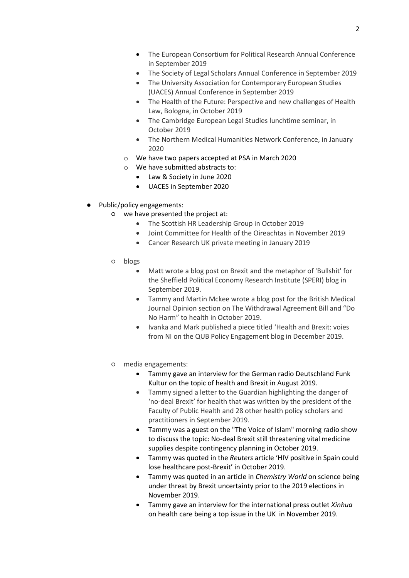- The European Consortium for Political Research Annual Conference in September 2019
- The Society of Legal Scholars Annual Conference in September 2019
- The University Association for Contemporary European Studies (UACES) Annual Conference in September 2019
- The Health of the Future: Perspective and new challenges of Health Law, Bologna, in October 2019
- The Cambridge European Legal Studies lunchtime seminar, in October 2019
- The Northern Medical Humanities Network Conference, in January 2020
- o We have two papers accepted at PSA in March 2020
- o We have submitted abstracts to:
	- Law & Society in June 2020
	- UACES in September 2020
- Public/policy engagements:
	- we have presented the project at:
		- The Scottish HR Leadership Group in October 2019
		- Joint Committee for Health of the Oireachtas in November 2019
		- Cancer Research UK private meeting in January 2019
	- blogs
		- Matt wrote a blog post on Brexit and the metaphor of 'Bullshit' for the Sheffield Political Economy Research Institute (SPERI) blog in September 2019.
		- Tammy and Martin Mckee wrote a blog post for the British Medical Journal Opinion section on The Withdrawal Agreement Bill and "Do No Harm" to health in October 2019.
		- Ivanka and Mark published a piece titled 'Health and Brexit: voies from NI on the QUB Policy Engagement blog in December 2019.
	- media engagements:
		- Tammy gave an interview for the German radio Deutschland Funk Kultur on the topic of health and Brexit in August 2019.
		- Tammy signed a letter to the Guardian highlighting the danger of 'no-deal Brexit' for health that was written by the president of the Faculty of Public Health and 28 other health policy scholars and practitioners in September 2019.
		- Tammy was a guest on the "The Voice of Islam" morning radio show to discuss the topic: No-deal Brexit still threatening vital medicine supplies despite contingency planning in October 2019.
		- Tammy was quoted in the *Reuters* article 'HIV positive in Spain could lose healthcare post-Brexit' in October 2019.
		- Tammy was quoted in an article in *Chemistry World* on science being under threat by Brexit uncertainty prior to the 2019 elections in November 2019.
		- Tammy gave an interview for the international press outlet *Xinhua*  on health care being a top issue in the UK in November 2019*.*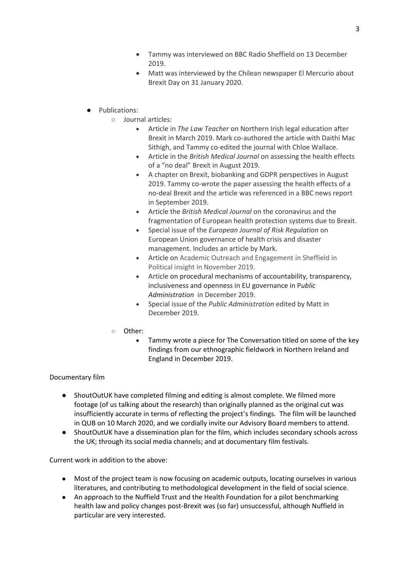- Tammy was interviewed on BBC Radio Sheffield on 13 December 2019.
- Matt was interviewed by the Chilean newspaper El Mercurio about Brexit Day on 31 January 2020.
- Publications:
	- Journal articles:
		- Article in *The Law Teacher* on Northern Irish legal education after Brexit in March 2019. Mark co-authored the article with Daithi Mac Sithigh, and Tammy co-edited the journal with Chloe Wallace.
		- Article in the *British Medical Journal* on assessing the health effects of a "no deal" Brexit in August 2019.
		- A chapter on Brexit, biobanking and GDPR perspectives in August 2019. Tammy co-wrote the paper assessing the health effects of a no-deal Brexit and the article was referenced in a BBC news report in September 2019.
		- Article the *British Medical Journal* on the coronavirus and the fragmentation of European health protection systems due to Brexit.
		- Special issue of the *European Journal of Risk Regulation* on European Union governance of health crisis and disaster management. Includes an article by Mark.
		- Article on Academic Outreach and Engagement in Sheffield in Political insight in November 2019.
		- Article on procedural mechanisms of accountability, transparency, inclusiveness and openness in EU governance in P*ublic Administration* in December 2019.
		- Special issue of the *Public Administration* edited by Matt in December 2019.
	- Other:
		- Tammy wrote a piece for The Conversation titled on some of the key findings from our ethnographic fieldwork in Northern Ireland and England in December 2019.

# Documentary film

- ShoutOutUK have completed filming and editing is almost complete. We filmed more footage (of us talking about the research) than originally planned as the original cut was insufficiently accurate in terms of reflecting the project's findings. The film will be launched in QUB on 10 March 2020, and we cordially invite our Advisory Board members to attend.
- ShoutOutUK have a dissemination plan for the film, which includes secondary schools across the UK; through its social media channels; and at documentary film festivals.

Current work in addition to the above:

- Most of the project team is now focusing on academic outputs, locating ourselves in various literatures, and contributing to methodological development in the field of social science.
- An approach to the Nuffield Trust and the Health Foundation for a pilot benchmarking health law and policy changes post-Brexit was (so far) unsuccessful, although Nuffield in particular are very interested.